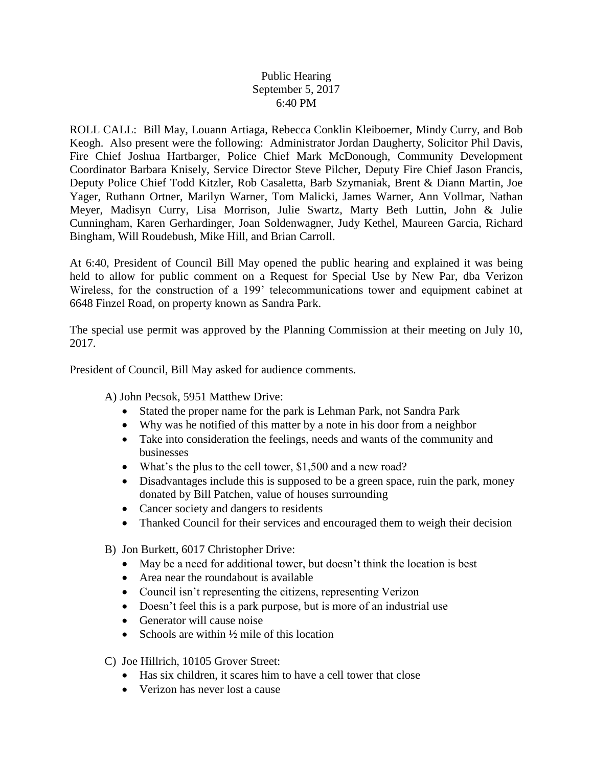## Public Hearing September 5, 2017 6:40 PM

ROLL CALL: Bill May, Louann Artiaga, Rebecca Conklin Kleiboemer, Mindy Curry, and Bob Keogh. Also present were the following: Administrator Jordan Daugherty, Solicitor Phil Davis, Fire Chief Joshua Hartbarger, Police Chief Mark McDonough, Community Development Coordinator Barbara Knisely, Service Director Steve Pilcher, Deputy Fire Chief Jason Francis, Deputy Police Chief Todd Kitzler, Rob Casaletta, Barb Szymaniak, Brent & Diann Martin, Joe Yager, Ruthann Ortner, Marilyn Warner, Tom Malicki, James Warner, Ann Vollmar, Nathan Meyer, Madisyn Curry, Lisa Morrison, Julie Swartz, Marty Beth Luttin, John & Julie Cunningham, Karen Gerhardinger, Joan Soldenwagner, Judy Kethel, Maureen Garcia, Richard Bingham, Will Roudebush, Mike Hill, and Brian Carroll.

At 6:40, President of Council Bill May opened the public hearing and explained it was being held to allow for public comment on a Request for Special Use by New Par, dba Verizon Wireless, for the construction of a 199' telecommunications tower and equipment cabinet at 6648 Finzel Road, on property known as Sandra Park.

The special use permit was approved by the Planning Commission at their meeting on July 10, 2017.

President of Council, Bill May asked for audience comments.

A) John Pecsok, 5951 Matthew Drive:

- Stated the proper name for the park is Lehman Park, not Sandra Park
- Why was he notified of this matter by a note in his door from a neighbor
- Take into consideration the feelings, needs and wants of the community and businesses
- What's the plus to the cell tower, \$1,500 and a new road?
- Disadvantages include this is supposed to be a green space, ruin the park, money donated by Bill Patchen, value of houses surrounding
- Cancer society and dangers to residents
- Thanked Council for their services and encouraged them to weigh their decision
- B) Jon Burkett, 6017 Christopher Drive:
	- May be a need for additional tower, but doesn't think the location is best
	- Area near the roundabout is available
	- Council isn't representing the citizens, representing Verizon
	- Doesn't feel this is a park purpose, but is more of an industrial use
	- Generator will cause noise
	- Schools are within  $\frac{1}{2}$  mile of this location
- C) Joe Hillrich, 10105 Grover Street:
	- Has six children, it scares him to have a cell tower that close
	- Verizon has never lost a cause